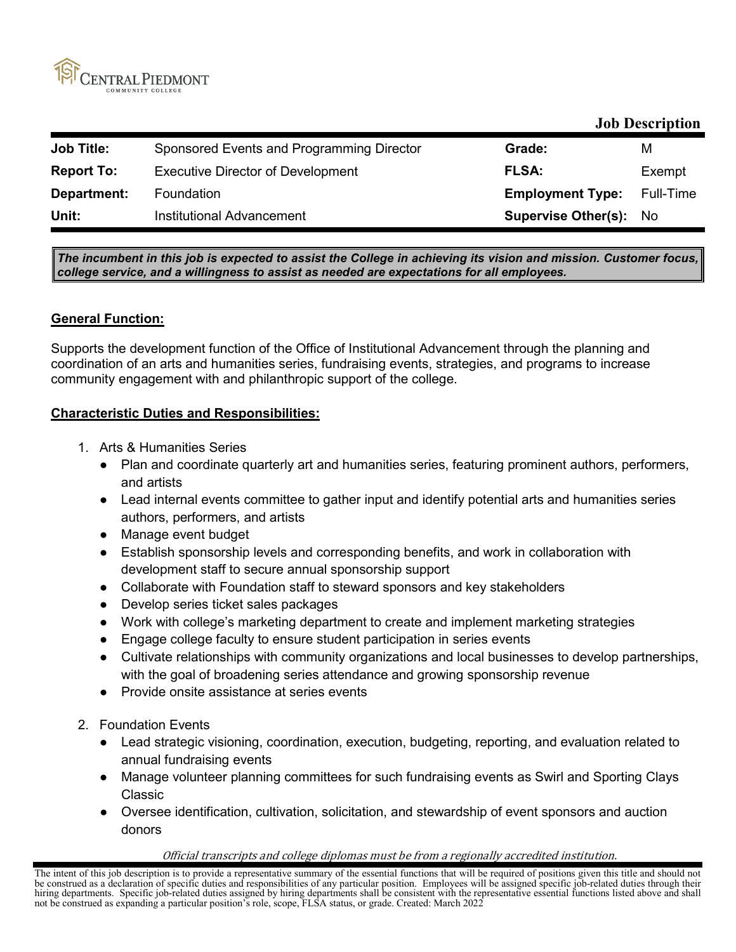

# **Job Description**

| <b>Job Title:</b> | Sponsored Events and Programming Director | Grade:                        | м         |
|-------------------|-------------------------------------------|-------------------------------|-----------|
| <b>Report To:</b> | <b>Executive Director of Development</b>  | <b>FLSA:</b>                  | Exempt    |
| Department:       | Foundation                                | <b>Employment Type:</b>       | Full-Time |
| Unit:             | Institutional Advancement                 | <b>Supervise Other(s): No</b> |           |

*The incumbent in this job is expected to assist the College in achieving its vision and mission. Customer focus, college service, and a willingness to assist as needed are expectations for all employees.*

## **General Function:**

Supports the development function of the Office of Institutional Advancement through the planning and coordination of an arts and humanities series, fundraising events, strategies, and programs to increase community engagement with and philanthropic support of the college.

## **Characteristic Duties and Responsibilities:**

- 1. Arts & Humanities Series
	- Plan and coordinate quarterly art and humanities series, featuring prominent authors, performers, and artists
	- Lead internal events committee to gather input and identify potential arts and humanities series authors, performers, and artists
	- Manage event budget
	- Establish sponsorship levels and corresponding benefits, and work in collaboration with development staff to secure annual sponsorship support
	- Collaborate with Foundation staff to steward sponsors and key stakeholders
	- Develop series ticket sales packages
	- Work with college's marketing department to create and implement marketing strategies
	- Engage college faculty to ensure student participation in series events
	- Cultivate relationships with community organizations and local businesses to develop partnerships, with the goal of broadening series attendance and growing sponsorship revenue
	- Provide onsite assistance at series events
- 2. Foundation Events
	- Lead strategic visioning, coordination, execution, budgeting, reporting, and evaluation related to annual fundraising events
	- Manage volunteer planning committees for such fundraising events as Swirl and Sporting Clays Classic
	- Oversee identification, cultivation, solicitation, and stewardship of event sponsors and auction donors

### Official transcripts and college diplomas must be from a regionally accredited institution.

The intent of this job description is to provide a representative summary of the essential functions that will be required of positions given this title and should not be construed as a declaration of specific duties and responsibilities of any particular position. Employees will be assigned specific job-related duties through their hiring departments. Specific job-related duties assigned by hiring departments shall be consistent with the representative essential functions listed above and shall not be construed as expanding a particular position's role, scope, FLSA status, or grade. Created: March 2022